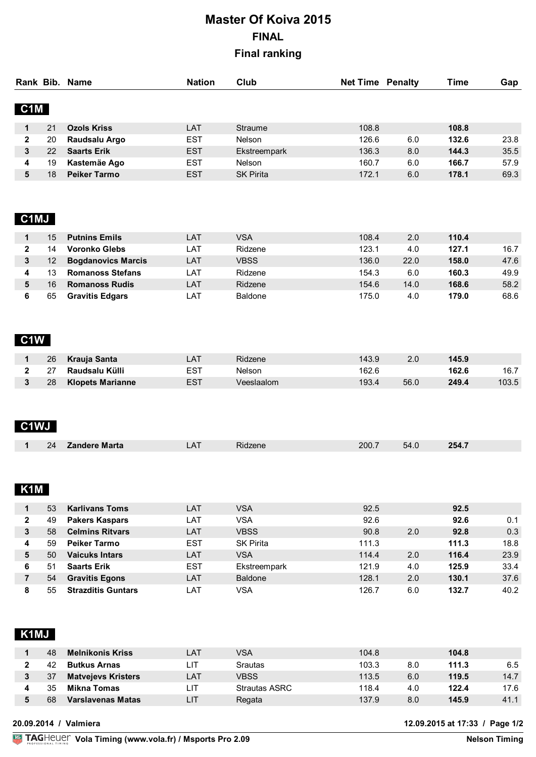# **Master Of Koiva 2015 FINAL Final ranking**

|                  |    | Rank Bib. Name      | <b>Nation</b> | Club             | <b>Net Time Penalty</b> |     | Time  | Gap  |
|------------------|----|---------------------|---------------|------------------|-------------------------|-----|-------|------|
| C <sub>1</sub> M |    |                     |               |                  |                         |     |       |      |
|                  | 21 | <b>Ozols Kriss</b>  | LAT           | Straume          | 108.8                   |     | 108.8 |      |
| 2                | 20 | Raudsalu Argo       | <b>EST</b>    | Nelson           | 126.6                   | 6.0 | 132.6 | 23.8 |
| 3                | 22 | <b>Saarts Erik</b>  | <b>EST</b>    | Ekstreempark     | 136.3                   | 8.0 | 144.3 | 35.5 |
| 4                | 19 | Kastemäe Ago        | <b>EST</b>    | <b>Nelson</b>    | 160.7                   | 6.0 | 166.7 | 57.9 |
| 5                | 18 | <b>Peiker Tarmo</b> | <b>EST</b>    | <b>SK Pirita</b> | 172.1                   | 6.0 | 178.1 | 69.3 |

## **C1MJ**

| 15            | <b>Putnins Emils</b>      | LAT | <b>VSA</b>     | 108.4 | 2.0  | 110.4 |      |
|---------------|---------------------------|-----|----------------|-------|------|-------|------|
| $^{\prime}$ 4 | <b>Voronko Glebs</b>      | LAT | Ridzene        | 123.1 | 4.0  | 127.1 | 16.7 |
|               | <b>Bogdanovics Marcis</b> | LAT | <b>VBSS</b>    | 136.0 | 22.0 | 158.0 | 47.6 |
|               | <b>Romanoss Stefans</b>   | LAT | Ridzene        | 154.3 | 6.0  | 160.3 | 49.9 |
| 16            | <b>Romanoss Rudis</b>     | LAT | Ridzene        | 154.6 | 14.0 | 168.6 | 58.2 |
| 65            | <b>Gravitis Edgars</b>    | LAT | <b>Baldone</b> | 175.0 | 4.0  | 179.0 | 68.6 |

#### **C1W**

|      | 26 Krauja Santa  | -AT | Ridzene    | 143.9 |      | 145.9 |       |
|------|------------------|-----|------------|-------|------|-------|-------|
| - 27 | Raudsalu Külli   |     | Nelsor     | 162.6 |      | 162.6 | 16.7  |
| 28   | Klopets Marianne | ES1 | /eeslaalom | 193.4 | 56.0 | 249.4 | 103.5 |

#### **C1WJ**

|  |  | 94<br> | -----<br>. | $\mathbf{a}$<br>$\sim$ | 45 I C<br>______ | 200.<br>_____ | ∽…<br>___ | 9Б.<br>$-0.71$ |
|--|--|--------|------------|------------------------|------------------|---------------|-----------|----------------|
|--|--|--------|------------|------------------------|------------------|---------------|-----------|----------------|

# **K1M**

|   | 53 | <b>Karlivans Toms</b>     | LAT        | VSA              | 92.5  |     | 92.5  |      |
|---|----|---------------------------|------------|------------------|-------|-----|-------|------|
| 2 | 49 | <b>Pakers Kaspars</b>     | LAT        | VSA              | 92.6  |     | 92.6  | 0.1  |
| 3 | 58 | <b>Celmins Ritvars</b>    | LAT        | <b>VBSS</b>      | 90.8  | 2.0 | 92.8  | 0.3  |
| 4 | 59 | <b>Peiker Tarmo</b>       | <b>EST</b> | <b>SK Pirita</b> | 111.3 |     | 111.3 | 18.8 |
| 5 | 50 | <b>Vaicuks Intars</b>     | LAT        | <b>VSA</b>       | 114.4 | 2.0 | 116.4 | 23.9 |
| 6 |    | <b>Saarts Erik</b>        | <b>EST</b> | Ekstreempark     | 121.9 | 4.0 | 125.9 | 33.4 |
|   | 54 | <b>Gravitis Egons</b>     | LAT        | <b>Baldone</b>   | 128.1 | 2.0 | 130.1 | 37.6 |
| 8 | 55 | <b>Strazditis Guntars</b> | LAT        | VSA              | 126.7 | 6.0 | 132.7 | 40.2 |

## **K1MJ**

| 48 | <b>Melnikonis Kriss</b>   | _AT | <b>VSA</b>           | 104.8 | 104.8        |      |
|----|---------------------------|-----|----------------------|-------|--------------|------|
|    | <b>Butkus Arnas</b>       | LΙT | <b>Srautas</b>       | 103.3 | 111.3<br>8.0 | 6.5  |
| 37 | <b>Matvejevs Kristers</b> | LAT | VBSS                 | 113.5 | 6.0<br>119.5 | 14.7 |
| 35 | Mikna Tomas               | ∟ΙΤ | <b>Strautas ASRC</b> | 118.4 | 122.4<br>4.0 | 17.6 |
| 68 | Varslavenas Matas         | LΙT | Regata               | 137.9 | 8.0<br>145.9 | 41.1 |

**20.09.2014 / Valmiera 12.09.2015 at 17:33 / Page 1/2**